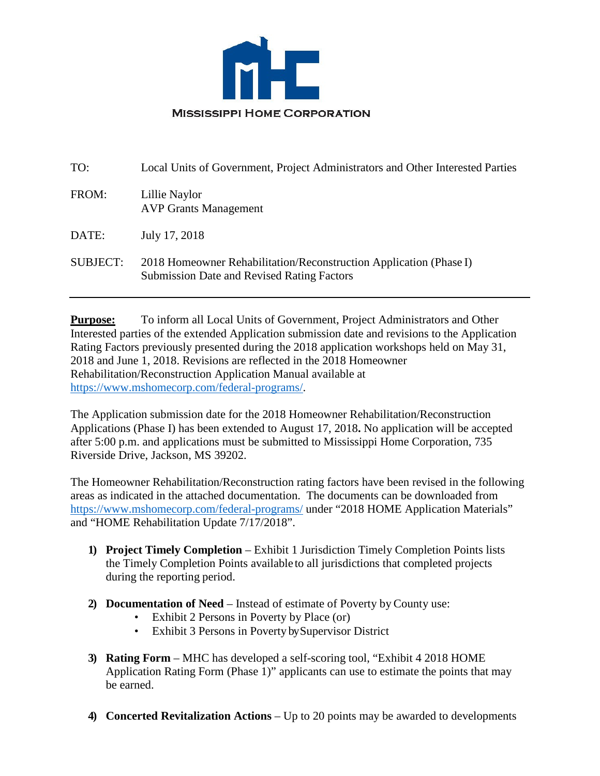

| Local Units of Government, Project Administrators and Other Interested Parties                                          |
|-------------------------------------------------------------------------------------------------------------------------|
| Lillie Naylor<br><b>AVP Grants Management</b>                                                                           |
| July 17, 2018                                                                                                           |
| 2018 Homeowner Rehabilitation/Reconstruction Application (Phase I)<br><b>Submission Date and Revised Rating Factors</b> |
|                                                                                                                         |

**Purpose:** To inform all Local Units of Government, Project Administrators and Other Interested parties of the extended Application submission date and revisions to the Application Rating Factors previously presented during the 2018 application workshops held on May 31, 2018 and June 1, 2018. Revisions are reflected in the 2018 Homeowner Rehabilitation/Reconstruction Application Manual available at [https://www.mshomecorp.com/federal-programs/.](https://www.mshomecorp.com/federal-programs/)

The Application submission date for the 2018 Homeowner Rehabilitation/Reconstruction Applications (Phase I) has been extended to August 17, 2018**.** No application will be accepted after 5:00 p.m. and applications must be submitted to Mississippi Home Corporation, 735 Riverside Drive, Jackson, MS 39202.

The Homeowner Rehabilitation/Reconstruction rating factors have been revised in the following areas as indicated in the attached documentation. The documents can be downloaded from <https://www.mshomecorp.com/federal-programs/> under "2018 HOME Application Materials" and "HOME Rehabilitation Update 7/17/2018".

- **1) Project Timely Completion**  Exhibit 1 Jurisdiction Timely Completion Points lists the Timely Completion Points available to all jurisdictions that completed projects during the reporting period.
- **2) Documentation of Need**  Instead of estimate of Poverty by County use:
	- Exhibit 2 Persons in Poverty by Place (or)
	- Exhibit 3 Persons in Poverty by Supervisor District
- **3) Rating Form** MHC has developed a self-scoring tool, "Exhibit 4 2018 HOME Application Rating Form (Phase 1)" applicants can use to estimate the points that may be earned.
- **4) Concerted Revitalization Actions**  Up to 20 points may be awarded to developments